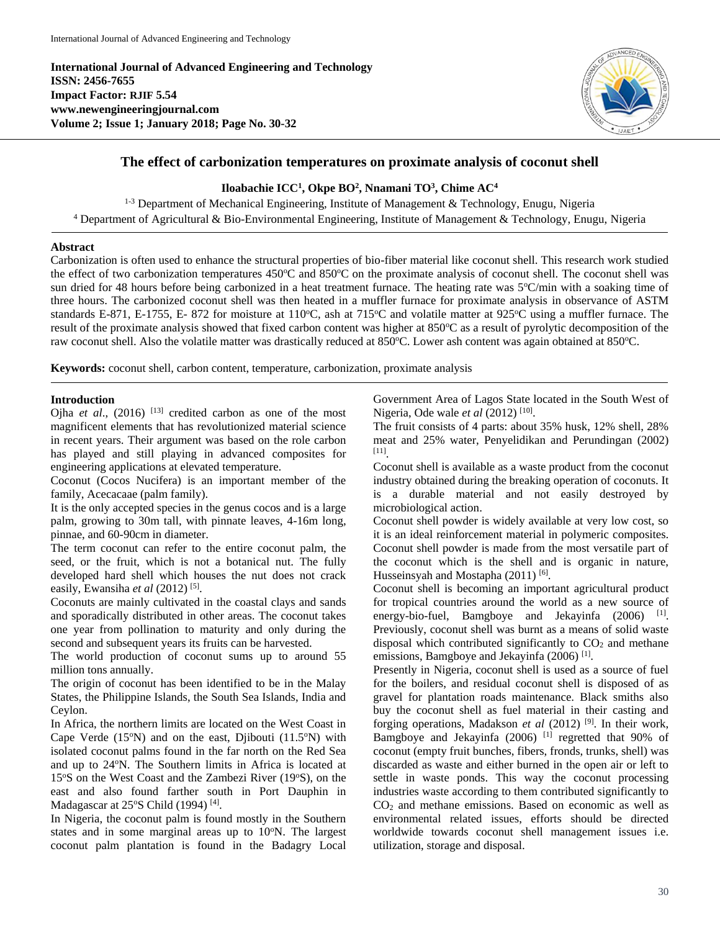**International Journal of Advanced Engineering and Technology ISSN: 2456-7655 Impact Factor: RJIF 5.54 www.newengineeringjournal.com Volume 2; Issue 1; January 2018; Page No. 30-32**



# **The effect of carbonization temperatures on proximate analysis of coconut shell**

### **Iloabachie ICC<sup>1</sup> , Okpe BO<sup>2</sup> , Nnamani TO<sup>3</sup> , Chime AC<sup>4</sup>**

<sup>1-3</sup> Department of Mechanical Engineering, Institute of Management & Technology, Enugu, Nigeria <sup>4</sup> Department of Agricultural & Bio-Environmental Engineering, Institute of Management & Technology, Enugu, Nigeria

### **Abstract**

Carbonization is often used to enhance the structural properties of bio-fiber material like coconut shell. This research work studied the effect of two carbonization temperatures 450°C and 850°C on the proximate analysis of coconut shell. The coconut shell was sun dried for 48 hours before being carbonized in a heat treatment furnace. The heating rate was 5°C/min with a soaking time of three hours. The carbonized coconut shell was then heated in a muffler furnace for proximate analysis in observance of ASTM standards E-871, E-1755, E- 872 for moisture at 110°C, ash at 715°C and volatile matter at 925°C using a muffler furnace. The result of the proximate analysis showed that fixed carbon content was higher at 850°C as a result of pyrolytic decomposition of the raw coconut shell. Also the volatile matter was drastically reduced at 850°C. Lower ash content was again obtained at 850°C.

**Keywords:** coconut shell, carbon content, temperature, carbonization, proximate analysis

### **Introduction**

Ojha *et al.*, (2016) <sup>[13]</sup> credited carbon as one of the most magnificent elements that has revolutionized material science in recent years. Their argument was based on the role carbon has played and still playing in advanced composites for engineering applications at elevated temperature.

Coconut (Cocos Nucifera) is an important member of the family, Acecacaae (palm family).

It is the only accepted species in the genus cocos and is a large palm, growing to 30m tall, with pinnate leaves, 4-16m long, pinnae, and 60-90cm in diameter.

The term coconut can refer to the entire coconut palm, the seed, or the fruit, which is not a botanical nut. The fully developed hard shell which houses the nut does not crack easily, Ewansiha *et al* (2012)<sup>[5]</sup>.

Coconuts are mainly cultivated in the coastal clays and sands and sporadically distributed in other areas. The coconut takes one year from pollination to maturity and only during the second and subsequent years its fruits can be harvested.

The world production of coconut sums up to around 55 million tons annually.

The origin of coconut has been identified to be in the Malay States, the Philippine Islands, the South Sea Islands, India and Ceylon.

In Africa, the northern limits are located on the West Coast in Cape Verde  $(15°N)$  and on the east, Djibouti  $(11.5°N)$  with isolated coconut palms found in the far north on the Red Sea and up to 24°N. The Southern limits in Africa is located at 15°S on the West Coast and the Zambezi River (19°S), on the east and also found farther south in Port Dauphin in Madagascar at 25°S Child (1994)<sup>[4]</sup>.

In Nigeria, the coconut palm is found mostly in the Southern states and in some marginal areas up to  $10^{\circ}$ N. The largest coconut palm plantation is found in the Badagry Local Government Area of Lagos State located in the South West of Nigeria, Ode wale *et al* (2012)<sup>[10]</sup>.

The fruit consists of 4 parts: about 35% husk, 12% shell, 28% meat and 25% water, Penyelidikan and Perundingan (2002) [11] .

Coconut shell is available as a waste product from the coconut industry obtained during the breaking operation of coconuts. It is a durable material and not easily destroyed by microbiological action.

Coconut shell powder is widely available at very low cost, so it is an ideal reinforcement material in polymeric composites. Coconut shell powder is made from the most versatile part of the coconut which is the shell and is organic in nature, Husseinsyah and Mostapha (2011)<sup>[6]</sup>.

Coconut shell is becoming an important agricultural product for tropical countries around the world as a new source of energy-bio-fuel, Bamgboye and Jekayinfa (2006) <sup>[1]</sup>. Previously, coconut shell was burnt as a means of solid waste disposal which contributed significantly to  $CO<sub>2</sub>$  and methane emissions, Bamgboye and Jekayinfa (2006)<sup>[1]</sup>.

Presently in Nigeria, coconut shell is used as a source of fuel for the boilers, and residual coconut shell is disposed of as gravel for plantation roads maintenance. Black smiths also buy the coconut shell as fuel material in their casting and forging operations, Madakson *et al* (2012) [9] . In their work, Bamgboye and Jekayinfa (2006)<sup>[1]</sup> regretted that 90% of coconut (empty fruit bunches, fibers, fronds, trunks, shell) was discarded as waste and either burned in the open air or left to settle in waste ponds. This way the coconut processing industries waste according to them contributed significantly to  $CO<sub>2</sub>$  and methane emissions. Based on economic as well as environmental related issues, efforts should be directed worldwide towards coconut shell management issues i.e. utilization, storage and disposal.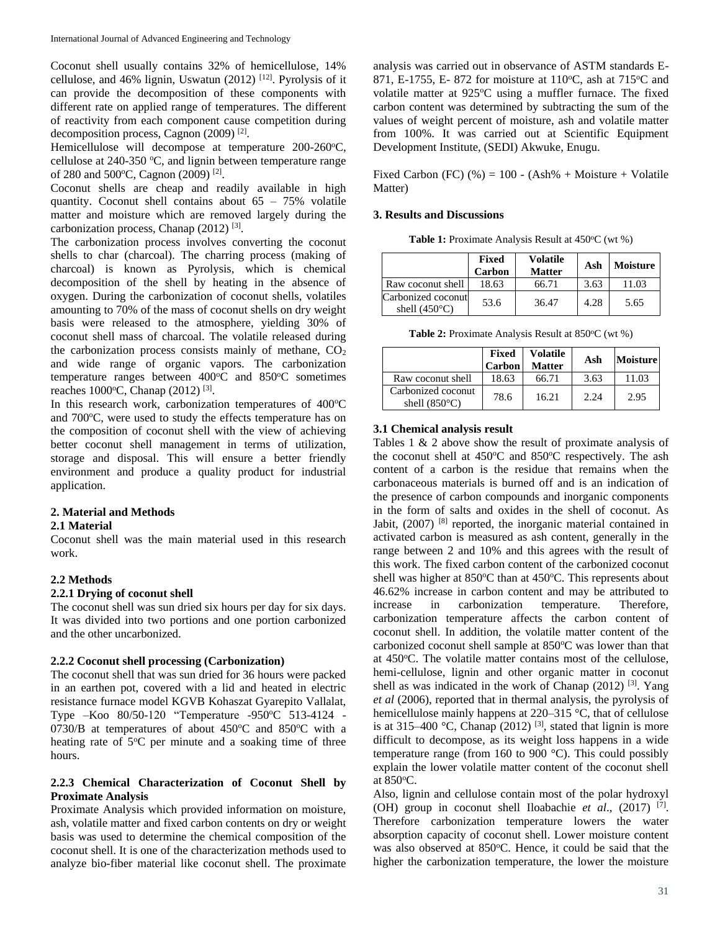Coconut shell usually contains 32% of hemicellulose, 14% cellulose, and 46% lignin, Uswatun  $(2012)$ <sup>[12]</sup>. Pyrolysis of it can provide the decomposition of these components with different rate on applied range of temperatures. The different of reactivity from each component cause competition during decomposition process, Cagnon (2009)<sup>[2]</sup>.

Hemicellulose will decompose at temperature 200-260°C, cellulose at  $240-350$  °C, and lignin between temperature range of 280 and 500°C, Cagnon (2009)<sup>[2]</sup>.

Coconut shells are cheap and readily available in high quantity. Coconut shell contains about  $65 - 75\%$  volatile matter and moisture which are removed largely during the carbonization process, Chanap (2012)<sup>[3]</sup>.

The carbonization process involves converting the coconut shells to char (charcoal). The charring process (making of charcoal) is known as Pyrolysis, which is chemical decomposition of the shell by heating in the absence of oxygen. During the carbonization of coconut shells, volatiles amounting to 70% of the mass of coconut shells on dry weight basis were released to the atmosphere, yielding 30% of coconut shell mass of charcoal. The volatile released during the carbonization process consists mainly of methane,  $CO<sub>2</sub>$ and wide range of organic vapors. The carbonization temperature ranges between  $400^{\circ}$ C and  $850^{\circ}$ C sometimes reaches 1000°C, Chanap (2012)<sup>[3]</sup>.

In this research work, carbonization temperatures of  $400^{\circ}$ C and 700°C, were used to study the effects temperature has on the composition of coconut shell with the view of achieving better coconut shell management in terms of utilization, storage and disposal. This will ensure a better friendly environment and produce a quality product for industrial application.

# **2. Material and Methods**

#### **2.1 Material**

Coconut shell was the main material used in this research work.

## **2.2 Methods**

## **2.2.1 Drying of coconut shell**

The coconut shell was sun dried six hours per day for six days. It was divided into two portions and one portion carbonized and the other uncarbonized.

## **2.2.2 Coconut shell processing (Carbonization)**

The coconut shell that was sun dried for 36 hours were packed in an earthen pot, covered with a lid and heated in electric resistance furnace model KGVB Kohaszat Gyarepito Vallalat, Type -Koo 80/50-120 "Temperature -950°C 513-4124 -0730/B at temperatures of about  $450^{\circ}$ C and  $850^{\circ}$ C with a heating rate of  $5^{\circ}$ C per minute and a soaking time of three hours.

## **2.2.3 Chemical Characterization of Coconut Shell by Proximate Analysis**

Proximate Analysis which provided information on moisture, ash, volatile matter and fixed carbon contents on dry or weight basis was used to determine the chemical composition of the coconut shell. It is one of the characterization methods used to analyze bio-fiber material like coconut shell. The proximate

analysis was carried out in observance of ASTM standards E-871, E-1755, E-872 for moisture at 110°C, ash at 715°C and volatile matter at  $925^{\circ}$ C using a muffler furnace. The fixed carbon content was determined by subtracting the sum of the values of weight percent of moisture, ash and volatile matter from 100%. It was carried out at Scientific Equipment Development Institute, (SEDI) Akwuke, Enugu.

Fixed Carbon (FC)  $%$  = 100 - (Ash% + Moisture + Volatile Matter)

### **3. Results and Discussions**

**Table 1:** Proximate Analysis Result at 450°C (wt %)

|                                              | Fixed<br>Carbon | <b>Volatile</b><br><b>Matter</b> | Ash  | Moisture |
|----------------------------------------------|-----------------|----------------------------------|------|----------|
| Raw coconut shell                            | 18.63           | 66.71                            | 3.63 | 11.03    |
| Carbonized coconut<br>shell $(450^{\circ}C)$ | 53.6            | 36.47                            | 4.28 | 5.65     |

**Table 2:** Proximate Analysis Result at 850°C (wt %)

|                                              | Fixed<br>Carbon | <b>Volatile</b><br><b>Matter</b> | Ash  | <b>Moisture</b> |
|----------------------------------------------|-----------------|----------------------------------|------|-----------------|
| Raw coconut shell                            | 18.63           | 66.71                            | 3.63 | 11.03           |
| Carbonized coconut<br>shell $(850^{\circ}C)$ | 78.6            | 16.21                            | 2.24 | 2.95            |

## **3.1 Chemical analysis result**

Tables 1 & 2 above show the result of proximate analysis of the coconut shell at  $450^{\circ}$ C and  $850^{\circ}$ C respectively. The ash content of a carbon is the residue that remains when the carbonaceous materials is burned off and is an indication of the presence of carbon compounds and inorganic components in the form of salts and oxides in the shell of coconut. As Jabit, (2007)<sup>[8]</sup> reported, the inorganic material contained in activated carbon is measured as ash content, generally in the range between 2 and 10% and this agrees with the result of this work. The fixed carbon content of the carbonized coconut shell was higher at 850°C than at 450°C. This represents about 46.62% increase in carbon content and may be attributed to increase in carbonization temperature. Therefore, carbonization temperature affects the carbon content of coconut shell. In addition, the volatile matter content of the carbonized coconut shell sample at  $850^{\circ}$ C was lower than that at 450°C. The volatile matter contains most of the cellulose, hemi-cellulose, lignin and other organic matter in coconut shell as was indicated in the work of Chanap (2012)<sup>[3]</sup>. Yang *et al* (2006), reported that in thermal analysis, the pyrolysis of hemicellulose mainly happens at 220–315 °C, that of cellulose is at 315–400 °C, Chanap (2012)<sup>[3]</sup>, stated that lignin is more difficult to decompose, as its weight loss happens in a wide temperature range (from 160 to 900  $^{\circ}$ C). This could possibly explain the lower volatile matter content of the coconut shell at 850°C.

Also, lignin and cellulose contain most of the polar hydroxyl (OH) group in coconut shell Iloabachie *et al*., (2017) [7] . Therefore carbonization temperature lowers the water absorption capacity of coconut shell. Lower moisture content was also observed at 850°C. Hence, it could be said that the higher the carbonization temperature, the lower the moisture